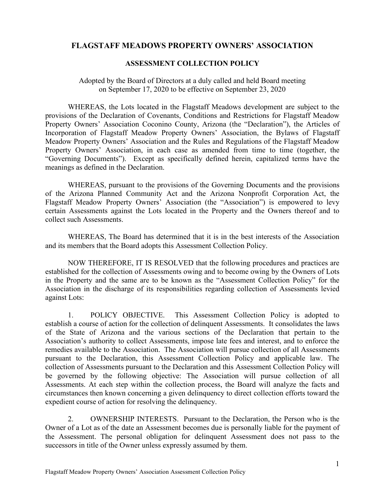## FLAGSTAFF MEADOWS PROPERTY OWNERS' ASSOCIATION

## ASSESSMENT COLLECTION POLICY

## Adopted by the Board of Directors at a duly called and held Board meeting

TAFF MEADOWS PROPERTY OWNERS' ASSOCIATION<br>
ASSESSMENT COLLECTION POLICY<br>
ed by the Board of Directors at a duly called and held Board meeting<br>
on September 17, 2020 to be effective on September 23, 2020<br>
S, the Lots locate WHEREAS, the Lots located in the Flagstaff Meadows development are subject to the provisions of the Declaration of Covenants, Conditions and Restrictions for Flagstaff Meadow **FLAGSTAFF MEADOWS PROPERTY OWNERS' ASSOCIATION**<br>ASSESSMENT COLLECTION POLICY<br>
Adopted by the Board of Directors at a duly called and held Board meeting<br>
on September 17, 2020 to be effective on September 23, 2020<br>
WHEREAS Incorporation of Flagstaff Meadow Property Owners' Association, the Bylaws of Flagstaff Meadow Property Owners' Association and the Rules and Regulations of the Flagstaff Meadow FLAGSTAFF MEADOWS PROPERTY OWNERS' ASSOCIATION<br>ASSESSMENT COLLECTION POLICY<br>Adopted by the Board of Directors at a duly called and held Board meeting<br>on September 17, 2020 to be effective on September 23, 2020<br>WHEREAS, the "Governing Documents"). Except as specifically defined herein, capitalized terms have the meanings as defined in the Declaration. FLAGSTAFF MEADOWS PROPERTY OWNERS' ASSOCIATION<br>
ASSESSMENT COLLECTION POLICY<br>
Adopted by the Board of Directors at a duly called and held Board meeting<br>
on September 17, 2020 to be effective on September 23, 2020<br>
WHEREAS, From Or Flagtar Tower and the Collection Contents, and the "Declaration"), the Articles of Incorporation of Flagtar Meadow Property Owners' Association and the Rules and Regulations of the Flagstaff Meadow Property Owners'

WHEREAS, pursuant to the provisions of the Governing Documents and the provisions of the Arizona Planned Community Act and the Arizona Nonprofit Corporation Act, the Flagstaff Meadow Property Owners' Association (the "Association") is empowered to levy certain Assessments against the Lots located in the Property and the Owners thereof and to collect such Assessments.

WHEREAS, The Board has determined that it is in the best interests of the Association and its members that the Board adopts this Assessment Collection Policy.

NOW THEREFORE, IT IS RESOLVED that the following procedures and practices are established for the collection of Assessments owing and to become owing by the Owners of Lots Association in the discharge of its responsibilities regarding collection of Assessments levied against Lots:

 1. POLICY OBJECTIVE. This Assessment Collection Policy is adopted to establish a course of action for the collection of delinquent Assessments. It consolidates the laws of the State of Arizona and the various sections of the Declaration that pertain to the Association's authority to collect Assessments, impose late fees and interest, and to enforce the remedies available to the Association. The Association will pursue collection of all Assessments pursuant to the Declaration, this Assessment Collection Policy and applicable law. The collection of Assessments pursuant to the Declaration and this Assessment Collection Policy will be governed by the following objective: The Association will pursue collection of all Assessments. At each step within the collection process, the Board will analyze the facts and circumstances then known concerning a given delinquency to direct collection efforts toward the expedient course of action for resolving the delinquency.

2. OWNERSHIP INTERESTS. Pursuant to the Declaration, the Person who is the Owner of a Lot as of the date an Assessment becomes due is personally liable for the payment of the Assessment. The personal obligation for delinquent Assessment does not pass to the successors in title of the Owner unless expressly assumed by them.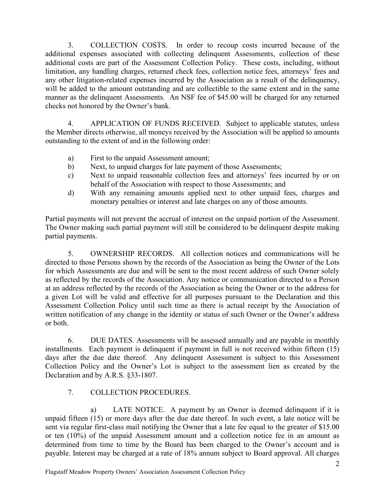3. COLLECTION COSTS. In order to recoup costs incurred because of the<br>nal expenses associated with collecting delinquent Assessments, collection of these<br>nal costs are part of the Assessment Collection Policy. These costs, additional expenses associated with collecting delinquent Assessments, collection of these additional costs are part of the Assessment Collection Policy. These costs, including, without limitation, any handling charges, returned check fees, collection notice fees, attorneys' fees and any other litigation-related expenses incurred by the Association as a result of the delinquency, will be added to the amount outstanding and are collectible to the same extent and in the same manner as the delinquent Assessments. An NSF fee of \$45.00 will be charged for any returned checks not honored by the Owner's bank. c) COLLECTION COSTS. In order to recoup costs incurred because of the rala expenses associated with collecting delinquent Assessments, collection of these hal costs are part of the Assessment Collection Policy. These costs Example of the Considerate Consideration will still be considered to the delinquency, will be added to the amount outstanding and are collectible to the same extent and in the same with the delinquent of the delinquent and

4. APPLICATION OF FUNDS RECEIVED. Subject to applicable statutes, unless the Member directs otherwise, all moneys received by the Association will be applied to amounts outstanding to the extent of and in the following order:

- a) First to the unpaid Assessment amount;
- b) Next, to unpaid charges for late payment of those Assessments;
- behalf of the Association with respect to those Assessments; and
- d) With any remaining amounts applied next to other unpaid fees, charges and monetary penalties or interest and late charges on any of those amounts.

Partial payments will not prevent the accrual of interest on the unpaid portion of the Assessment. partial payments.

 5. OWNERSHIP RECORDS. All collection notices and communications will be directed to those Persons shown by the records of the Association as being the Owner of the Lots for which Assessments are due and will be sent to the most recent address of such Owner solely as reflected by the records of the Association. Any notice or communication directed to a Person at an address reflected by the records of the Association as being the Owner or to the address for a given Lot will be valid and effective for all purposes pursuant to the Declaration and this Assessment Collection Policy until such time as there is actual receipt by the Association of written notification of any change in the identity or status of such Owner or the Owner's address or both.

6. DUE DATES. Assessments will be assessed annually and are payable in monthly installments. Each payment is delinquent if payment in full is not received within fifteen (15) days after the due date thereof. Any delinquent Assessment is subject to this Assessment Collection Policy and the Owner's Lot is subject to the assessment lien as created by the Declaration and by A.R.S. §33-1807.

## 7. COLLECTION PROCEDURES.

 a) LATE NOTICE. A payment by an Owner is deemed delinquent if it is unpaid fifteen (15) or more days after the due date thereof. In such event, a late notice will be sent via regular first-class mail notifying the Owner that a late fee equal to the greater of \$15.00 or ten (10%) of the unpaid Assessment amount and a collection notice fee in an amount as determined from time to time by the Board has been charged to the Owner's account and is payable. Interest may be charged at a rate of 18% annum subject to Board approval. All charges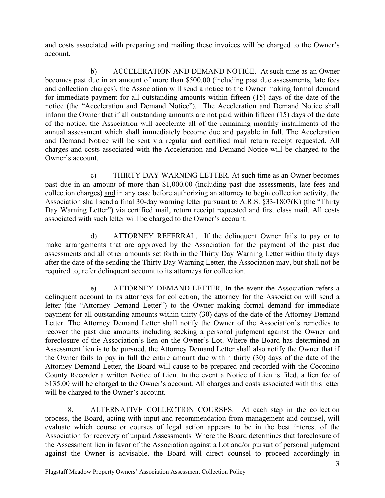account.

and costs associated with preparing and mailing these invoices will be charged to the Owner's<br>account.<br>b) ACCELERATION AND DEMAND NOTICE. At such time as an Owner<br>becomes past due in an amount of more than \$500.00 (includi ts associated with preparing and mailing these invoices will be charged to the Owner's<br>
i.<br>
b) ACCELERATION AND DEMAND NOTICE. At such time as an Owner<br>
s past due in an amount of more than \$500.00 (including past due asse becomes past due in an amount of more than \$500.00 (including past due assessments, late fees and collection charges), the Association will send a notice to the Owner making formal demand and costs associated with preparing and mailing these invoices will be charged to the Owner's account.<br>
b) ACCELERATION AND DEMAND NOTICE. At such time as an Owner<br>
becomes past due in an amount of more than \$500.00 (inclu notice (the "Acceleration and Demand Notice"). The Acceleration and Demand Notice shall inform the Owner that if all outstanding amounts are not paid within fifteen (15) days of the date of the notice, the Association will accelerate all of the remaining monthly installments of the annual assessment which shall immediately become due and payable in full. The Acceleration and Demand Notice will be sent via regular and certified mail return receipt requested. All charges and costs associated with the Acceleration and Demand Notice will be charged to the Owner's account. ciated with preparing and mailing these invoices will be charged to the Owner's<br>b) ACCELERATION AND DEMAND NOTICE. At such time as an Owner<br>thue in an amount of more than \$500.00 (including past due assessments, late fees<br> by<br>the in a mount of more than \$500.00 (including past due assessments, late fees<br>charges), the Association will send a notice to the Owner making formal demand<br>payment for all outstanding anouns within fifter (15) days of

past due in an amount of more than \$1,000.00 (including past due assessments, late fees and collection charges) and in any case before authorizing an attorney to begin collection activity, the Association shall send a final 30-day warning letter pursuant to A.R.S. §33-1807(K) (the "Thirty Day Warning Letter") via certified mail, return receipt requested and first class mail. All costs associated with such letter will be charged to the Owner's account. Entrict and the streamed and one of the streamed between the streamed to the the streamed to the trian the street will be sent via regular and certified mail return receipt requested. All others associated with the Acceler

make arrangements that are approved by the Association for the payment of the past due assessments and all other amounts set forth in the Thirty Day Warning Letter within thirty days after the date of the sending the Thirty Day Warning Letter, the Association may, but shall not be required to, refer delinquent account to its attorneys for collection.

and Demand Notice will be sent via regular and certified mail return receipt requested. All charges and costs associated with the Accoleration and Demand Notice will be charged to the Owner's account.<br>
C) THIRTY DAY WARNIN letter (the "Attorney Demand Letter") to the Owner making formal demand for immediate payment for all outstanding amounts within thirty (30) days of the date of the Attorney Demand Letter. The Attorney Demand Letter shall notify the Owner of the Association's remedies to recover the past due amounts including seeking a personal judgment against the Owner and foreclosure of the Association's lien on the Owner's Lot. Where the Board has determined an Assessment lien is to be pursued, the Attorney Demand Letter shall also notify the Owner that if the Owner fails to pay in full the entire amount due within thirty (30) days of the date of the Attorney Demand Letter, the Board will cause to be prepared and recorded with the Coconino County Recorder a written Notice of Lien. In the event a Notice of Lien is filed, a lien fee of \$135.00 will be charged to the Owner's account. All charges and costs associated with this letter will be charged to the Owner's account. delinquent account to its attency for collection, the attency for the Association will send a<br>letter (the "Attorney Demand Letter") to the Owner making formal demand for inmediate<br>payment for all outstanding amounts within

 8. ALTERNATIVE COLLECTION COURSES. At each step in the collection process, the Board, acting with input and recommendation from management and counsel, will evaluate which course or courses of legal action appears to be in the best interest of the Association for recovery of unpaid Assessments. Where the Board determines that foreclosure of the Assessment lien in favor of the Association against a Lot and/or pursuit of personal judgment